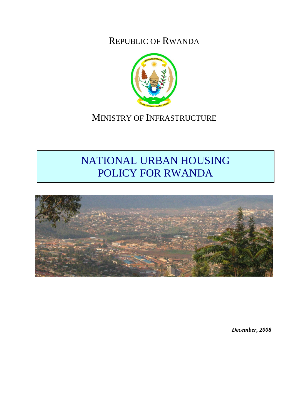REPUBLIC OF RWANDA



## MINISTRY OF INFRASTRUCTURE

# NATIONAL URBAN HOUSING POLICY FOR RWANDA



*December, 2008*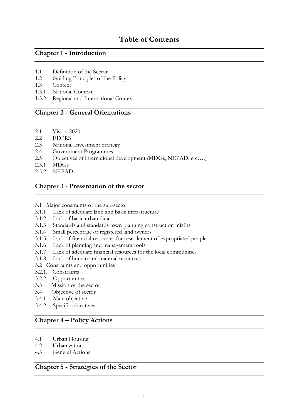### **Table of Contents**

#### **Chapter 1 - Introduction**

- 1.1 Definition of the Sector
- 1.2 Guiding Principles of the Policy
- 1.3 Context
- 1.3.1 National Context
- 1.3.2 Regional and International Context

#### **Chapter 2 - General Orientations**

- 2.1 Vision 2020
- 2.2 EDPRS
- 2.3 National Investment Strategy
- 2.4 Government Programmes
- 2.5 Objectives of international development (MDGs, NEPAD, etc….)
- 2.5.1 MDGs
- 2.5.2 NEPAD

#### **Chapter 3 - Presentation of the sector**

- 3.1 Major constraints of the sub-sector
- 3.1.1 Lack of adequate land and basic infrastructure
- 3.1.2 Lack of basic urban data
- 3.1.3 Standards and standards town planning construction misfits
- 3.1.4 Small percentage of registered land owners
- 3.1.5 Lack of financial resources for resettlement of expropriated people
- 3.1.6 Lack of planning and management tools
- 3.1.7 Lack of adequate financial resources for the local communities
- 3.1.8 Lack of human and material resources
- 3.2 Constraints and opportunities
- 3.2.1. Constraints
- 3.2.2 Opportunities
- 3.3 Mission of the sector
- 3.4 Objective of sector
- 3.4.1 Main objective
- 3.4.2 Specific objectives

#### **Chapter 4 – Policy Actions**

- 4.1 Urban Housing
- 4.2 Urbanization
- 4.3 General Actions

#### **Chapter 5 - Strategies of the Sector**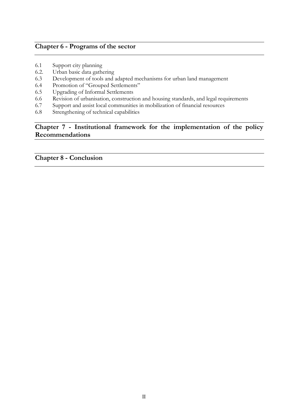#### **Chapter 6 - Programs of the sector**

- 6.1 Support city planning
- 6.2. Urban basic data gathering
- 6.3 Development of tools and adapted mechanisms for urban land management
- 6.4 Promotion of "Grouped Settlements"
- 6.5 Upgrading of Informal Settlements
- 6.6 Revision of urbanisation, construction and housing standards, and legal requirements
- 6.7 Support and assist local communities in mobilization of financial resources
- 6.8 Strengthening of technical capabilities

#### **Chapter 7 - Institutional framework for the implementation of the policy Recommendations**

**Chapter 8 - Conclusion**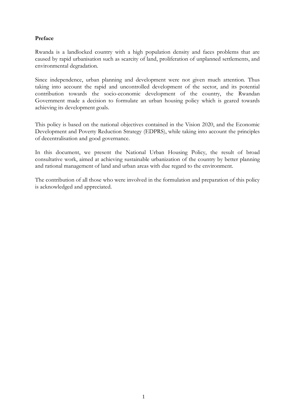#### **Preface**

Rwanda is a landlocked country with a high population density and faces problems that are caused by rapid urbanisation such as scarcity of land, proliferation of unplanned settlements, and environmental degradation.

Since independence, urban planning and development were not given much attention. Thus taking into account the rapid and uncontrolled development of the sector, and its potential contribution towards the socio-economic development of the country, the Rwandan Government made a decision to formulate an urban housing policy which is geared towards achieving its development goals.

This policy is based on the national objectives contained in the Vision 2020, and the Economic Development and Poverty Reduction Strategy (EDPRS), while taking into account the principles of decentralisation and good governance.

In this document, we present the National Urban Housing Policy, the result of broad consultative work, aimed at achieving sustainable urbanization of the country by better planning and rational management of land and urban areas with due regard to the environment.

The contribution of all those who were involved in the formulation and preparation of this policy is acknowledged and appreciated.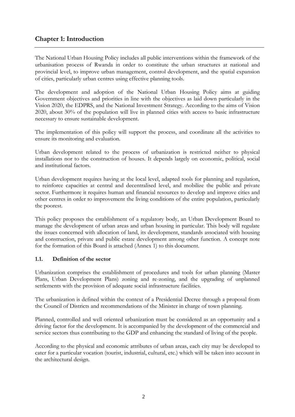#### **Chapter 1: Introduction**

The National Urban Housing Policy includes all public interventions within the framework of the urbanisation process of Rwanda in order to constitute the urban structures at national and provincial level, to improve urban management, control development, and the spatial expansion of cities, particularly urban centres using effective planning tools.

The development and adoption of the National Urban Housing Policy aims at guiding Government objectives and priorities in line with the objectives as laid down particularly in the Vision 2020, the EDPRS, and the National Investment Strategy. According to the aims of Vision 2020, about 30% of the population will live in planned cities with access to basic infrastructure necessary to ensure sustainable development.

The implementation of this policy will support the process, and coordinate all the activities to ensure its monitoring and evaluation.

Urban development related to the process of urbanization is restricted neither to physical installations nor to the construction of houses. It depends largely on economic, political, social and institutional factors.

Urban development requires having at the local level, adapted tools for planning and regulation, to reinforce capacities at central and decentralised level, and mobilize the public and private sector. Furthermore it requires human and financial resources to develop and improve cities and other centres in order to improvement the living conditions of the entire population, particularly the poorest.

This policy proposes the establishment of a regulatory body, an Urban Development Board to manage the development of urban areas and urban housing in particular. This body will regulate the issues concerned with allocation of land, its development, standards associated with housing and construction, private and public estate development among other function. A concept note for the formation of this Board is attached (Annex 1) to this document.

#### **1.1. Definition of the sector**

Urbanization comprises the establishment of procedures and tools for urban planning (Master Plans, Urban Development Plans) zoning and re-zoning, and the upgrading of unplanned settlements with the provision of adequate social infrastructure facilities.

The urbanization is defined within the context of a Presidential Decree through a proposal from the Council of Districts and recommendations of the Minister in charge of town planning.

Planned, controlled and well oriented urbanization must be considered as an opportunity and a driving factor for the development. It is accompanied by the development of the commercial and service sectors thus contributing to the GDP and enhancing the standard of living of the people.

According to the physical and economic attributes of urban areas, each city may be developed to cater for a particular vocation (tourist, industrial, cultural, etc.) which will be taken into account in the architectural design.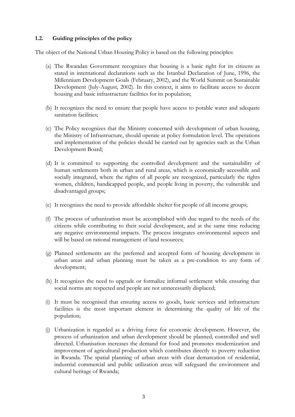#### **1.2. Guiding principles of the policy**

The object of the National Urban Housing Policy is based on the following principles:

- (a) The Rwandan Government recognizes that housing is a basic right for its citizens as stated in international declarations such as the Istanbul Declaration of June, 1996, the Millennium Development Goals (February, 2002), and the World Summit on Sustainable Development (July-August, 2002). In this context, it aims to facilitate access to decent housing and basic infrastructure facilities for its population;
- (b) It recognizes the need to ensure that people have access to potable water and adequate sanitation facilities;
- (c) The Policy recognizes that the Ministry concerned with development of urban housing, the Ministry of Infrastructure, should operate at policy formulation level. The operations and implementation of the policies should be carried out by agencies such as the Urban Development Board;
- (d) It is committed to supporting the controlled development and the sustainability of human settlements both in urban and rural areas, which is economically accessible and socially integrated, where the rights of all people are recognized, particularly the rights women, children, handicapped people, and people living in poverty, the vulnerable and disadvantaged groups;
- (e) It recognizes the need to provide affordable shelter for people of all income groups;
- (f) The process of urbanization must be accomplished with due regard to the needs of the citizens while contributing to their social development, and at the same time reducing any negative environmental impacts. The process integrates environmental aspects and will be based on rational management of land resources;
- (g) Planned settlements are the preferred and accepted form of housing development in urban areas and urban planning must be taken as a pre-condition to any form of development;
- (h) It recognizes the need to upgrade or formalize informal settlement while ensuring that social norms are respected and people are not unnecessarily displaced;
- (i) It must be recognised that ensuring access to goods, basic services and infrastructure facilities is the most important element in determining the quality of life of the population;
- (j) Urbanization is regarded as a driving force for economic development. However, the process of urbanization and urban development should be planned, controlled and well directed. Urbanisation increases the demand for food and promotes modernization and improvement of agricultural production which contributes directly to poverty reduction in Rwanda. The spatial planning of urban areas with clear demarcation of residential, industrial commercial and public utilization areas will safeguard the environment and cultural heritage of Rwanda;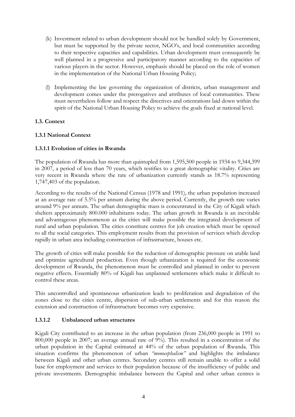- (k) Investment related to urban development should not be handled solely by Government, but must be supported by the private sector, NGO's, and local communities according to their respective capacities and capabilities. Urban development must consequently be well planned in a progressive and participatory manner according to the capacities of various players in the sector. However, emphasis should be placed on the role of women in the implementation of the National Urban Housing Policy;
- (l) Implementing the law governing the organization of districts, urban management and development comes under the prerogatives and attributes of local communities. These must nevertheless follow and respect the directives and orientations laid down within the spirit of the National Urban Housing Policy to achieve the goals fixed at national level.

#### **1.3. Context**

#### **1.3.1 National Context**

#### **1.3.1.1 Evolution of cities in Rwanda**

The population of Rwanda has more than quintupled from 1,595,500 people in 1934 to 9,344,399 in 2007, a period of less than 70 years, which testifies to a great demographic vitality. Cities are very recent in Rwanda where the rate of urbanization currently stands as 18.7% representing 1,747,403 of the population.

According to the results of the National Census (1978 and 1991), the urban population increased at an average rate of 5.5% per annum during the above period. Currently, the growth rate varies around 9% per annum. The urban demographic mass is concentrated in the City of Kigali which shelters approximately 800.000 inhabitants today. The urban growth in Rwanda is an inevitable and advantageous phenomenon as the cities will make possible the integrated development of rural and urban population. The cities constitute centres for job creation which must be opened to all the social categories. This employment results from the provision of services which develop rapidly in urban area including construction of infrastructure, houses etc.

The growth of cities will make possible for the reduction of demographic pressure on arable land and optimize agricultural production. Even though urbanization is required for the economic development of Rwanda, the phenomenon must be controlled and planned in order to prevent negative effects. Essentially 80% of Kigali has unplanned settlements which make it difficult to control these areas.

This uncontrolled and spontaneous urbanization leads to proliferation and degradation of the zones close to the cities centre, dispersion of sub-urban settlements and for this reason the extension and construction of infrastructure becomes very expensive.

#### **1.3.1.2 Unbalanced urban structures**

Kigali City contributed to an increase in the urban population (from 236,000 people in 1991 to 800,000 people in 2007; an average annual rate of 9%). This resulted in a concentration of the urban population in the Capital estimated at 44% of the urban population of Rwanda. This situation confirms the phenomenon of urban *"monocephalism"* and highlights the imbalance between Kigali and other urban centres. Secondary centres still remain unable to offer a solid base for employment and services to their population because of the insufficiency of public and private investments. Demographic imbalance between the Capital and other urban centres is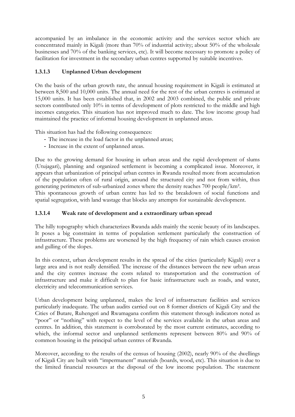accompanied by an imbalance in the economic activity and the services sector which are concentrated mainly in Kigali (more than 70% of industrial activity; about 50% of the wholesale businesses and 70% of the banking services, etc). It will become necessary to promote a policy of facilitation for investment in the secondary urban centres supported by suitable incentives.

#### **1.3.1.3 Unplanned Urban development**

On the basis of the urban growth rate, the annual housing requirement in Kigali is estimated at between 8,500 and 10,000 units. The annual need for the rest of the urban centres is estimated at 15,000 units. It has been established that, in 2002 and 2003 combined, the public and private sectors contributed only 10% in terms of development of plots restricted to the middle and high incomes categories. This situation has not improved much to date. The low income group had maintained the practice of informal housing development in unplanned areas.

This situation has had the following consequences:

- The increase in the load factor in the unplanned areas;
- Increase in the extent of unplanned areas.

Due to the growing demand for housing in urban areas and the rapid development of slums (Utujagari), planning and organized settlement is becoming a complicated issue. Moreover, it appears that urbanization of principal urban centres in Rwanda resulted more from accumulation of the population often of rural origin, around the structured city and not from within, thus generating perimeters of sub-urbanized zones where the density reaches 700 people/km².

This spontaneous growth of urban centre has led to the breakdown of social functions and spatial segregation, with land wastage that blocks any attempts for sustainable development.

#### **1.3.1.4 Weak rate of development and a extraordinary urban spread**

The hilly topography which characterizes Rwanda adds mainly the scenic beauty of its landscapes. It poses a big constraint in terms of population settlement particularly the construction of infrastructure. These problems are worsened by the high frequency of rain which causes erosion and gulling of the slopes.

In this context, urban development results in the spread of the cities (particularly Kigali) over a large area and is not really densified. The increase of the distances between the new urban areas and the city centres increase the costs related to transportation and the construction of infrastructure and make it difficult to plan for basic infrastructure such as roads, and water, electricity and telecommunication services.

Urban development being unplanned, makes the level of infrastructure facilities and services particularly inadequate. The urban audits carried out on 8 former districts of Kigali City and the Cities of Butare, Ruhengeri and Rwamagana confirm this statement through indicators noted as "poor" or "nothing" with respect to the level of the services available in the urban areas and centres. In addition, this statement is corroborated by the most current estimates, according to which, the informal sector and unplanned settlements represent between 80% and 90% of common housing in the principal urban centres of Rwanda.

Moreover, according to the results of the census of housing (2002), nearly 90% of the dwellings of Kigali City are built with "impermanent" materials (boards, wood, etc). This situation is due to the limited financial resources at the disposal of the low income population. The statement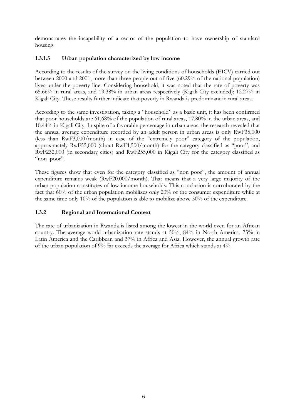demonstrates the incapability of a sector of the population to have ownership of standard housing.

#### **1.3.1.5 Urban population characterized by low income**

According to the results of the survey on the living conditions of households (EICV) carried out between 2000 and 2001, more than three people out of five (60.29% of the national population) lives under the poverty line. Considering household, it was noted that the rate of poverty was 65.66% in rural areas, and 19.38% in urban areas respectively (Kigali City excluded); 12.27% in Kigali City. These results further indicate that poverty in Rwanda is predominant in rural areas.

According to the same investigation, taking a "household" as a basic unit, it has been confirmed that poor households are 61.68% of the population of rural areas, 17.80% in the urban areas, and 10.44% in Kigali City. In spite of a favorable percentage in urban areas, the research revealed that the annual average expenditure recorded by an adult person in urban areas is only RwF35,000 (less than RwF3,000/month) in case of the "extremely poor" category of the population, approximately RwF55,000 (about RwF4,500/month) for the category classified as "poor", and RwF232,000 (in secondary cities) and RwF255,000 in Kigali City for the category classified as "non poor".

These figures show that even for the category classified as "non poor", the amount of annual expenditure remains weak (RwF20.000/month). That means that a very large majority of the urban population constitutes of low income households. This conclusion is corroborated by the fact that 60% of the urban population mobilizes only 20% of the consumer expenditure while at the same time only 10% of the population is able to mobilize above 50% of the expenditure.

#### **1.3.2 Regional and International Context**

The rate of urbanization in Rwanda is listed among the lowest in the world even for an African country. The average world urbanization rate stands at 50%, 84% in North America, 75% in Latin America and the Caribbean and 37% in Africa and Asia. However, the annual growth rate of the urban population of 9% far exceeds the average for Africa which stands at 4%.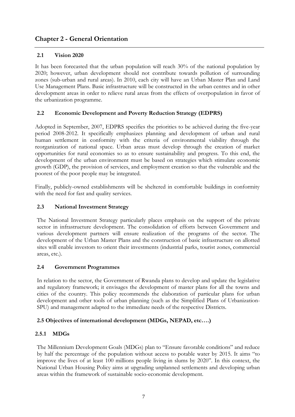#### **Chapter 2 - General Orientation**

#### **2.1 Vision 2020**

It has been forecasted that the urban population will reach 30% of the national population by 2020; however, urban development should not contribute towards pollution of surrounding zones (sub-urban and rural areas). In 2010, each city will have an Urban Master Plan and Land Use Management Plans. Basic infrastructure will be constructed in the urban centres and in other development areas in order to relieve rural areas from the effects of overpopulation in favor of the urbanization programme.

#### **2.2 Economic Development and Poverty Reduction Strategy (EDPRS)**

Adopted in September, 2007, EDPRS specifies the priorities to be achieved during the five-year period 2008-2012. It specifically emphasizes planning and development of urban and rural human settlement in conformity with the criteria of environmental viability through the reorganization of national space. Urban areas must develop through the creation of market opportunities for rural economies so as to ensure sustainability and progress. To this end, the development of the urban environment must be based on strategies which stimulate economic growth (GDP), the provision of services, and employment creation so that the vulnerable and the poorest of the poor people may be integrated.

Finally, publicly-owned establishments will be sheltered in comfortable buildings in conformity with the need for fast and quality services.

#### **2.3 National Investment Strategy**

The National Investment Strategy particularly places emphasis on the support of the private sector in infrastructure development. The consolidation of efforts between Government and various development partners will ensure realization of the programs of the sector. The development of the Urban Master Plans and the construction of basic infrastructure on allotted sites will enable investors to orient their investments (industrial parks, tourist zones, commercial areas, etc.).

#### **2.4 Government Programmes**

In relation to the sector, the Government of Rwanda plans to develop and update the legislative and regulatory framework; it envisages the development of master plans for all the towns and cities of the country. This policy recommends the elaboration of particular plans for urban development and other tools of urban planning (such as the Simplified Plans of Urbanization-SPU) and management adapted to the immediate needs of the respective Districts.

#### **2.5 Objectives of international development (MDGs, NEPAD, etc….)**

#### **2.5.1 MDGs**

The Millennium Development Goals (MDGs) plan to "Ensure favorable conditions" and reduce by half the percentage of the population without access to potable water by 2015. It aims "to improve the lives of at least 100 millions people living in slums by 2020". In this context, the National Urban Housing Policy aims at upgrading unplanned settlements and developing urban areas within the framework of sustainable socio-economic development.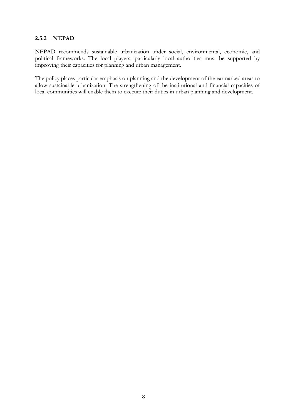#### **2.5.2 NEPAD**

NEPAD recommends sustainable urbanization under social, environmental, economic, and political frameworks. The local players, particularly local authorities must be supported by improving their capacities for planning and urban management.

The policy places particular emphasis on planning and the development of the earmarked areas to allow sustainable urbanization. The strengthening of the institutional and financial capacities of local communities will enable them to execute their duties in urban planning and development.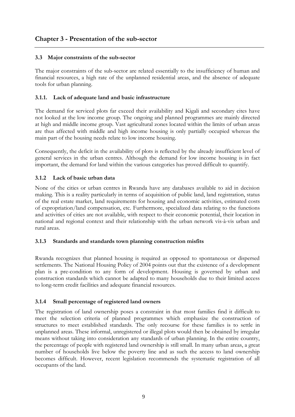#### **3.3 Major constraints of the sub-sector**

The major constraints of the sub-sector are related essentially to the insufficiency of human and financial resources, a high rate of the unplanned residential areas, and the absence of adequate tools for urban planning.

#### **3.1.1. Lack of adequate land and basic infrastructure**

The demand for serviced plots far exceed their availability and Kigali and secondary cites have not looked at the low income group. The ongoing and planned programmes are mainly directed at high and middle income group. Vast agricultural zones located within the limits of urban areas are thus affected with middle and high income housing is only partially occupied whereas the main part of the housing needs relate to low income housing.

Consequently, the deficit in the availability of plots is reflected by the already insufficient level of general services in the urban centres. Although the demand for low income housing is in fact important, the demand for land within the various categories has proved difficult to quantify.

#### **3.1.2 Lack of basic urban data**

None of the cities or urban centres in Rwanda have any databases available to aid in decision making. This is a reality particularly in terms of acquisition of public land, land registration, status of the real estate market, land requirements for housing and economic activities, estimated costs of expropriation/land compensation, etc. Furthermore, specialized data relating to the functions and activities of cities are not available, with respect to their economic potential, their location in national and regional context and their relationship with the urban network vis-à-vis urban and rural areas.

#### **3.1.3 Standards and standards town planning construction misfits**

Rwanda recognizes that planned housing is required as opposed to spontaneous or dispersed settlements. The National Housing Policy of 2004 points out that the existence of a development plan is a pre-condition to any form of development. Housing is governed by urban and construction standards which cannot be adapted to many households due to their limited access to long-term credit facilities and adequate financial resources.

#### **3.1.4 Small percentage of registered land owners**

The registration of land ownership poses a constraint in that most families find it difficult to meet the selection criteria of planned programmes which emphasize the construction of structures to meet established standards. The only recourse for these families is to settle in unplanned areas. These informal, unregistered or illegal plots would then be obtained by irregular means without taking into consideration any standards of urban planning. In the entire country, the percentage of people with registered land ownership is still small. In many urban areas, a great number of households live below the poverty line and as such the access to land ownership becomes difficult. However, recent legislation recommends the systematic registration of all occupants of the land.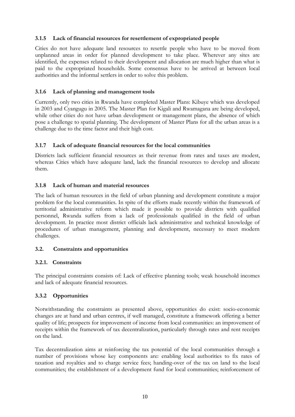#### **3.1.5 Lack of financial resources for resettlement of expropriated people**

Cities do not have adequate land resources to resettle people who have to be moved from unplanned areas in order for planned development to take place. Wherever any sites are identified, the expenses related to their development and allocation are much higher than what is paid to the expropriated households. Some consensus have to be arrived at between local authorities and the informal settlers in order to solve this problem.

#### **3.1.6 Lack of planning and management tools**

Currently, only two cities in Rwanda have completed Master Plans: Kibuye which was developed in 2003 and Cyangugu in 2005. The Master Plan for Kigali and Rwamagana are being developed, while other cities do not have urban development or management plans, the absence of which pose a challenge to spatial planning. The development of Master Plans for all the urban areas is a challenge due to the time factor and their high cost.

#### **3.1.7 Lack of adequate financial resources for the local communities**

Districts lack sufficient financial resources as their revenue from rates and taxes are modest, whereas Cities which have adequate land, lack the financial resources to develop and allocate them.

#### **3.1.8 Lack of human and material resources**

The lack of human resources in the field of urban planning and development constitute a major problem for the local communities. In spite of the efforts made recently within the framework of territorial administrative reform which made it possible to provide districts with qualified personnel, Rwanda suffers from a lack of professionals qualified in the field of urban development. In practice most district officials lack administrative and technical knowledge of procedures of urban management, planning and development, necessary to meet modern challenges.

#### **3.2. Constraints and opportunities**

#### **3.2.1. Constraints**

The principal constraints consists of: Lack of effective planning tools; weak household incomes and lack of adequate financial resources.

#### **3.3.2 Opportunities**

Notwithstanding the constraints as presented above, opportunities do exist: socio-economic changes are at hand and urban centres, if well managed, constitute a framework offering a better quality of life; prospects for improvement of income from local communities: an improvement of receipts within the framework of tax decentralization, particularly through rates and rent receipts on the land.

Tax decentralization aims at reinforcing the tax potential of the local communities through a number of provisions whose key components are: enabling local authorities to fix rates of taxation and royalties and to charge service fees; handing-over of the tax on land to the local communities; the establishment of a development fund for local communities; reinforcement of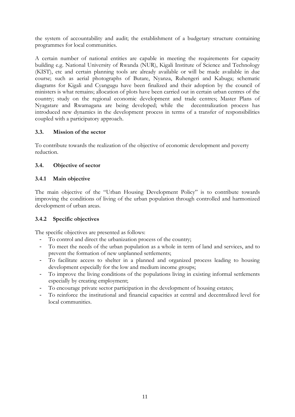the system of accountability and audit; the establishment of a budgetary structure containing programmes for local communities.

A certain number of national entities are capable in meeting the requirements for capacity building e.g. National University of Rwanda (NUR), Kigali Institute of Science and Technology (KIST), etc and certain planning tools are already available or will be made available in due course; such as aerial photographs of Butare, Nyanza, Ruhengeri and Kabuga; schematic diagrams for Kigali and Cyangugu have been finalized and their adoption by the council of ministers is what remains; allocation of plots have been carried out in certain urban centres of the country; study on the regional economic development and trade centres; Master Plans of Nyagatare and Rwamagana are being developed; while the decentralization process has introduced new dynamics in the development process in terms of a transfer of responsibilities coupled with a participatory approach.

#### **3.3. Mission of the sector**

To contribute towards the realization of the objective of economic development and poverty reduction.

#### **3.4. Objective of sector**

#### **3.4.1 Main objective**

The main objective of the "Urban Housing Development Policy" is to contribute towards improving the conditions of living of the urban population through controlled and harmonized development of urban areas.

#### **3.4.2 Specific objectives**

The specific objectives are presented as follows:

- To control and direct the urbanization process of the country;
- To meet the needs of the urban population as a whole in term of land and services, and to prevent the formation of new unplanned settlements;
- To facilitate access to shelter in a planned and organized process leading to housing development especially for the low and medium income groups;
- To improve the living conditions of the populations living in existing informal settlements especially by creating employment;
- To encourage private sector participation in the development of housing estates;
- To reinforce the institutional and financial capacities at central and decentralized level for local communities.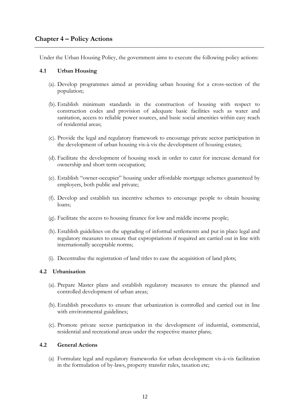#### **Chapter 4 – Policy Actions**

Under the Urban Housing Policy, the government aims to execute the following policy actions:

#### **4.1 Urban Housing**

- (a). Develop programmes aimed at providing urban housing for a cross-section of the population;
- (b). Establish minimum standards in the construction of housing with respect to construction codes and provision of adequate basic facilities such as water and sanitation, access to reliable power sources, and basic social amenities within easy reach of residential areas;
- (c). Provide the legal and regulatory framework to encourage private sector participation in the development of urban housing vis-à-vis the development of housing estates;
- (d). Facilitate the development of housing stock in order to cater for increase demand for ownership and short term occupation;
- (e). Establish "owner-occupier" housing under affordable mortgage schemes guaranteed by employers, both public and private;
- (f). Develop and establish tax incentive schemes to encourage people to obtain housing loans;
- (g). Facilitate the access to housing finance for low and middle income people;
- (h). Establish guidelines on the upgrading of informal settlements and put in place legal and regulatory measures to ensure that expropriations if required are carried out in line with internationally acceptable norms;
- (i). Decentralise the registration of land titles to ease the acquisition of land plots;

#### **4.2 Urbanisation**

- (a). Prepare Master plans and establish regulatory measures to ensure the planned and controlled development of urban areas;
- (b). Establish procedures to ensure that urbanization is controlled and carried out in line with environmental guidelines;
- (c). Promote private sector participation in the development of industrial, commercial, residential and recreational areas under the respective master plans;

#### **4.2 General Actions**

(a) Formulate legal and regulatory frameworks for urban development vis-à-vis facilitation in the formulation of by-laws, property transfer rules, taxation etc;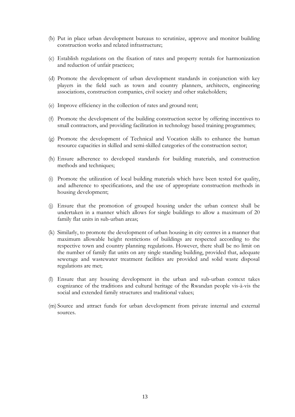- (b) Put in place urban development bureaus to scrutinize, approve and monitor building construction works and related infrastructure;
- (c) Establish regulations on the fixation of rates and property rentals for harmonization and reduction of unfair practices;
- (d) Promote the development of urban development standards in conjunction with key players in the field such as town and country planners, architects, engineering associations, construction companies, civil society and other stakeholders;
- (e) Improve efficiency in the collection of rates and ground rent;
- (f) Promote the development of the building construction sector by offering incentives to small contractors, and providing facilitation in technology based training programmes;
- (g) Promote the development of Technical and Vocation skills to enhance the human resource capacities in skilled and semi-skilled categories of the construction sector;
- (h) Ensure adherence to developed standards for building materials, and construction methods and techniques;
- (i) Promote the utilization of local building materials which have been tested for quality, and adherence to specifications, and the use of appropriate construction methods in housing development;
- (j) Ensure that the promotion of grouped housing under the urban context shall be undertaken in a manner which allows for single buildings to allow a maximum of 20 family flat units in sub-urban areas;
- (k) Similarly, to promote the development of urban housing in city centres in a manner that maximum allowable height restrictions of buildings are respected according to the respective town and country planning regulations. However, there shall be no limit on the number of family flat units on any single standing building, provided that, adequate sewerage and wastewater treatment facilities are provided and solid waste disposal regulations are met;
- (l) Ensure that any housing development in the urban and sub-urban context takes cognizance of the traditions and cultural heritage of the Rwandan people vis-à-vis the social and extended family structures and traditional values;
- (m) Source and attract funds for urban development from private internal and external sources.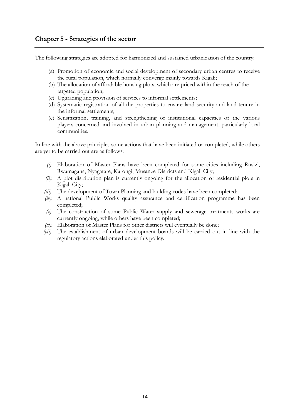The following strategies are adopted for harmonized and sustained urbanization of the country:

- (a) Promotion of economic and social development of secondary urban centres to receive the rural population, which normally converge mainly towards Kigali;
- (b) The allocation of affordable housing plots, which are priced within the reach of the targeted population;
- (c) Upgrading and provision of services to informal settlements;
- (d) Systematic registration of all the properties to ensure land security and land tenure in the informal settlements;
- (e) Sensitization, training, and strengthening of institutional capacities of the various players concerned and involved in urban planning and management, particularly local communities.

In line with the above principles some actions that have been initiated or completed, while others are yet to be carried out are as follows:

- *(i).* Elaboration of Master Plans have been completed for some cities including Rusizi, Rwamagana, Nyagatare, Karongi, Musanze Districts and Kigali City;
- *(ii).* A plot distribution plan is currently ongoing for the allocation of residential plots in Kigali City;
- *(iii).* The development of Town Planning and building codes have been completed;
- *(iv).* A national Public Works quality assurance and certification programme has been completed;
- *(v).* The construction of some Public Water supply and sewerage treatments works are currently ongoing, while others have been completed;
- *(vi).* Elaboration of Master Plans for other districts will eventually be done;
- *(vii).* The establishment of urban development boards will be carried out in line with the regulatory actions elaborated under this policy.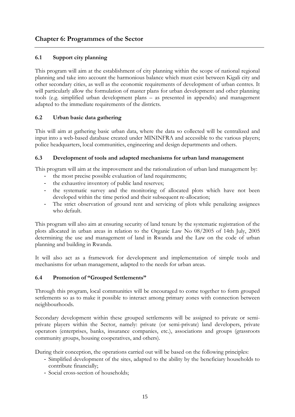#### **6.1 Support city planning**

This program will aim at the establishment of city planning within the scope of national regional planning and take into account the harmonious balance which must exist between Kigali city and other secondary cities, as well as the economic requirements of development of urban centres. It will particularly allow the formulation of master plans for urban development and other planning tools (e.g. simplified urban development plans – as presented in appendix) and management adapted to the immediate requirements of the districts.

#### **6.2 Urban basic data gathering**

This will aim at gathering basic urban data, where the data so collected will be centralized and input into a web-based database created under MININFRA and accessible to the various players; police headquarters, local communities, engineering and design departments and others.

#### **6.3 Development of tools and adapted mechanisms for urban land management**

This program will aim at the improvement and the rationalization of urban land management by:

- the most precise possible evaluation of land requirements;
- the exhaustive inventory of public land reserves;
- the systematic survey and the monitoring of allocated plots which have not been developed within the time period and their subsequent re-allocation;
- The strict observation of ground rent and servicing of plots while penalizing assignees who default.

This program will also aim at ensuring security of land tenure by the systematic registration of the plots allocated in urban areas in relation to the Organic Law No 08/2005 of 14th July, 2005 determining the use and management of land in Rwanda and the Law on the code of urban planning and building in Rwanda.

It will also act as a framework for development and implementation of simple tools and mechanisms for urban management, adapted to the needs for urban areas.

#### **6.4 Promotion of "Grouped Settlements"**

Through this program, local communities will be encouraged to come together to form grouped settlements so as to make it possible to interact among primary zones with connection between neighbourhoods.

Secondary development within these grouped settlements will be assigned to private or semiprivate players within the Sector, namely: private (or semi-private) land developers, private operators (enterprises, banks, insurance companies, etc.), associations and groups (grassroots community groups, housing cooperatives, and others).

During their conception, the operations carried out will be based on the following principles:

- Simplified development of the sites, adapted to the ability by the beneficiary households to contribute financially;
- Social cross-section of households;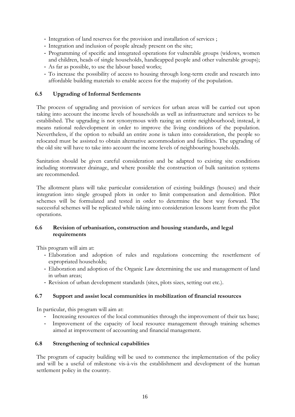- Integration of land reserves for the provision and installation of services ;
- Integration and inclusion of people already present on the site;
- Programming of specific and integrated operations for vulnerable groups (widows, women and children, heads of single households, handicapped people and other vulnerable groups);
- As far as possible, to use the labour based works;
- To increase the possibility of access to housing through long-term credit and research into affordable building materials to enable access for the majority of the population.

#### **6.5 Upgrading of Informal Settlements**

The process of upgrading and provision of services for urban areas will be carried out upon taking into account the income levels of households as well as infrastructure and services to be established. The upgrading is not synonymous with razing an entire neighbourhood; instead, it means rational redevelopment in order to improve the living conditions of the population. Nevertheless, if the option to rebuild an entire zone is taken into consideration, the people so relocated must be assisted to obtain alternative accommodation and facilities. The upgrading of the old site will have to take into account the income levels of neighbouring households.

Sanitation should be given careful consideration and be adapted to existing site conditions including stormwater drainage, and where possible the construction of bulk sanitation systems are recommended.

The allotment plans will take particular consideration of existing buildings (houses) and their integration into single grouped plots in order to limit compensation and demolition. Pilot schemes will be formulated and tested in order to determine the best way forward. The successful schemes will be replicated while taking into consideration lessons learnt from the pilot operations.

#### **6.6 Revision of urbanisation, construction and housing standards, and legal requirements**

This program will aim at:

- Elaboration and adoption of rules and regulations concerning the resettlement of expropriated households;
- Elaboration and adoption of the Organic Law determining the use and management of land in urban areas;
- Revision of urban development standards (sites, plots sizes, setting out etc.).

#### **6.7 Support and assist local communities in mobilization of financial resources**

In particular, this program will aim at:

- Increasing resources of the local communities through the improvement of their tax base;
- Improvement of the capacity of local resource management through training schemes aimed at improvement of accounting and financial management.

#### **6.8 Strengthening of technical capabilities**

The program of capacity building will be used to commence the implementation of the policy and will be a useful of milestone vis-à-vis the establishment and development of the human settlement policy in the country.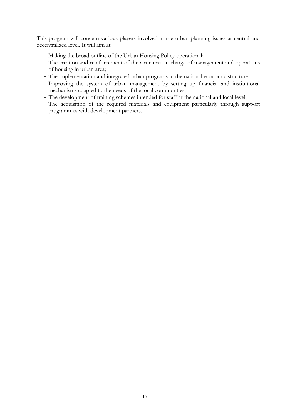This program will concern various players involved in the urban planning issues at central and decentralized level. It will aim at:

- Making the broad outline of the Urban Housing Policy operational;
- The creation and reinforcement of the structures in charge of management and operations of housing in urban area;
- The implementation and integrated urban programs in the national economic structure;
- Improving the system of urban management by setting up financial and institutional mechanisms adapted to the needs of the local communities;
- The development of training schemes intended for staff at the national and local level;
- The acquisition of the required materials and equipment particularly through support programmes with development partners.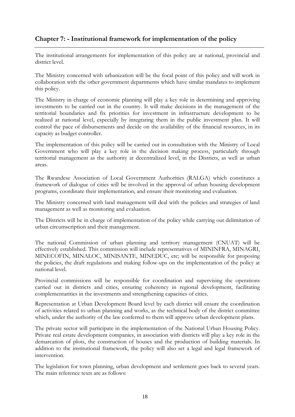#### **Chapter 7: - Institutional framework for implementation of the policy**

The institutional arrangements for implementation of this policy are at national, provincial and district level.

The Ministry concerned with urbanization will be the focal point of this policy and will work in collaboration with the other government departments which have similar mandates to implement this policy.

The Ministry in charge of economic planning will play a key role in determining and approving investments to be carried out in the country. It will make decisions in the management of the territorial boundaries and fix priorities for investment in infrastructure development to be realized at national level, especially by integrating them in the public investment plan. It will control the pace of disbursements and decide on the availability of the financial resources, in its capacity as budget controller.

The implementation of this policy will be carried out in consultation with the Ministry of Local Government who will play a key role in the decision making process, particularly through territorial management as the authority at decentralized level, in the Districts, as well as urban areas.

The Rwandese Association of Local Government Authorities (RALGA) which constitutes a framework of dialogue of cities will be involved in the approval of urban housing development programs, coordinate their implementation, and ensure their monitoring and evaluation.

The Ministry concerned with land management will deal with the policies and strategies of land management as well as monitoring and evaluation.

The Districts will be in charge of implementation of the policy while carrying out delimitation of urban circumscription and their management.

The national Commission of urban planning and territory management (CNUAT) will be effectively established. This commission will include representatives of MININFRA, MINAGRI, MINECOFIN, MINALOC, MINISANTE, MINEDUC, etc; will be responsible for proposing the policies, the draft regulations and making follow-ups on the implementation of the policy at national level.

Provincial commissions will be responsible for coordination and supervising the operations carried out in districts and cities, ensuring coherency in regional development, facilitating complementarities in the investments and strengthening capacities of cities.

Representation at Urban Development Board level by each district will ensure the coordination of activities related to urban planning and works, as the technical body of the district committee which, under the authority of the law conferred to them will approve urban development plans.

The private sector will participate in the implementation of the National Urban Housing Policy. Private real estate development companies, in association with districts will play a key role in the demarcation of plots, the construction of houses and the production of building materials. In addition to the institutional framework, the policy will also set a legal and legal framework of intervention.

The legislation for town planning, urban development and settlement goes back to several years. The main reference texts are as follows: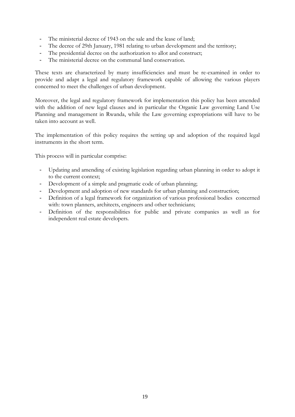- The ministerial decree of 1943 on the sale and the lease of land;
- The decree of 29th January, 1981 relating to urban development and the territory;
- The presidential decree on the authorization to allot and construct;
- The ministerial decree on the communal land conservation.

These texts are characterized by many insufficiencies and must be re-examined in order to provide and adapt a legal and regulatory framework capable of allowing the various players concerned to meet the challenges of urban development.

Moreover, the legal and regulatory framework for implementation this policy has been amended with the addition of new legal clauses and in particular the Organic Law governing Land Use Planning and management in Rwanda, while the Law governing expropriations will have to be taken into account as well.

The implementation of this policy requires the setting up and adoption of the required legal instruments in the short term.

This process will in particular comprise:

- Updating and amending of existing legislation regarding urban planning in order to adopt it to the current context;
- Development of a simple and pragmatic code of urban planning;
- Development and adoption of new standards for urban planning and construction;
- Definition of a legal framework for organization of various professional bodies concerned with: town planners, architects, engineers and other technicians;
- Definition of the responsibilities for public and private companies as well as for independent real estate developers.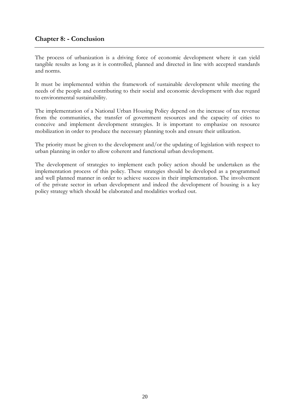#### **Chapter 8: - Conclusion**

The process of urbanization is a driving force of economic development where it can yield tangible results as long as it is controlled, planned and directed in line with accepted standards and norms.

It must be implemented within the framework of sustainable development while meeting the needs of the people and contributing to their social and economic development with due regard to environmental sustainability.

The implementation of a National Urban Housing Policy depend on the increase of tax revenue from the communities, the transfer of government resources and the capacity of cities to conceive and implement development strategies. It is important to emphasize on resource mobilization in order to produce the necessary planning tools and ensure their utilization.

The priority must be given to the development and/or the updating of legislation with respect to urban planning in order to allow coherent and functional urban development.

The development of strategies to implement each policy action should be undertaken as the implementation process of this policy. These strategies should be developed as a programmed and well planned manner in order to achieve success in their implementation. The involvement of the private sector in urban development and indeed the development of housing is a key policy strategy which should be elaborated and modalities worked out.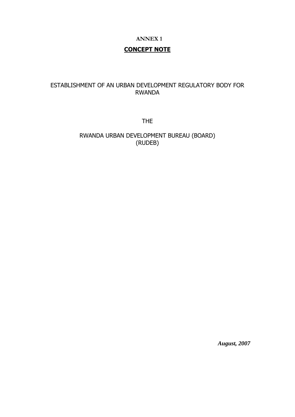#### **ANNEX 1**

#### **CONCEPT NOTE**

#### ESTABLISHMENT OF AN URBAN DEVELOPMENT REGULATORY BODY FOR RWANDA

THE

RWANDA URBAN DEVELOPMENT BUREAU (BOARD) (RUDEB)

*August, 2007*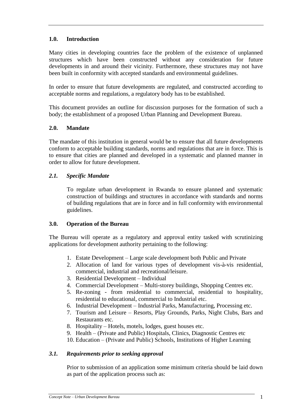#### **1.0. Introduction**

Many cities in developing countries face the problem of the existence of unplanned structures which have been constructed without any consideration for future developments in and around their vicinity. Furthermore, these structures may not have been built in conformity with accepted standards and environmental guidelines.

In order to ensure that future developments are regulated, and constructed according to acceptable norms and regulations, a regulatory body has to be established.

This document provides an outline for discussion purposes for the formation of such a body; the establishment of a proposed Urban Planning and Development Bureau.

#### **2.0. Mandate**

The mandate of this institution in general would be to ensure that all future developments conform to acceptable building standards, norms and regulations that are in force. This is to ensure that cities are planned and developed in a systematic and planned manner in order to allow for future development.

#### *2.1. Specific Mandate*

To regulate urban development in Rwanda to ensure planned and systematic construction of buildings and structures in accordance with standards and norms of building regulations that are in force and in full conformity with environmental guidelines.

#### **3.0. Operation of the Bureau**

The Bureau will operate as a regulatory and approval entity tasked with scrutinizing applications for development authority pertaining to the following:

- 1. Estate Development Large scale development both Public and Private
- 2. Allocation of land for various types of development vis-à-vis residential, commercial, industrial and recreational/leisure.
- 3. Residential Development Individual
- 4. Commercial Development Multi-storey buildings, Shopping Centres etc.
- 5. Re-zoning from residential to commercial, residential to hospitality, residential to educational, commercial to Industrial etc.
- 6. Industrial Development Industrial Parks, Manufacturing, Processing etc.
- 7. Tourism and Leisure Resorts, Play Grounds, Parks, Night Clubs, Bars and Restaurants etc.
- 8. Hospitality Hotels, motels, lodges, guest houses etc.
- 9. Health (Private and Public) Hospitals, Clinics, Diagnostic Centres etc
- 10. Education (Private and Public) Schools, Institutions of Higher Learning

#### *3.1. Requirements prior to seeking approval*

Prior to submission of an application some minimum criteria should be laid down as part of the application process such as: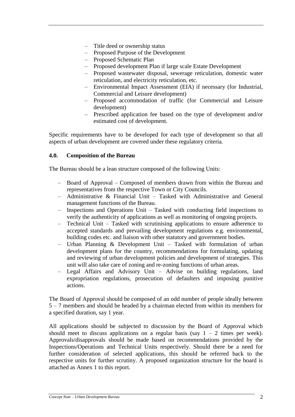- Title deed or ownership status
- Proposed Purpose of the Development
- Proposed Schematic Plan
- Proposed development Plan if large scale Estate Development
- Proposed wastewater disposal, sewerage reticulation, domestic water reticulation, and electricity reticulation, etc.
- Environmental Impact Assessment (EIA) if necessary (for Industrial, Commercial and Leisure development)
- Proposed accommodation of traffic (for Commercial and Leisure development)
- Prescribed application fee based on the type of development and/or estimated cost of development.

Specific requirements have to be developed for each type of development so that all aspects of urban development are covered under these regulatory criteria.

#### **4.0. Composition of the Bureau**

The Bureau should be a lean structure composed of the following Units:

- Board of Approval Composed of members drawn from within the Bureau and representatives from the respective Town or City Councils.
- Administrative & Financial Unit Tasked with Administrative and General management functions of the Bureau.
- Inspections and Operations Unit Tasked with conducting field inspections to verify the authenticity of applications as well as monitoring of ongoing projects.
- Technical Unit Tasked with scrutinising applications to ensure adherence to accepted standards and prevailing development regulations e.g. environmental, building codes etc. and liaison with other statutory and government bodies.
- Urban Planning & Development Unit Tasked with formulation of urban development plans for the country, recommendations for formulating, updating and reviewing of urban development policies and development of strategies. This unit will also take care of zoning and re-zoning functions of urban areas.
- Legal Affairs and Advisory Unit Advise on building regulations, land expropriation regulations, prosecution of defaulters and imposing punitive actions.

The Board of Approval should be composed of an odd number of people ideally between 5 – 7 members and should be headed by a chairman elected from within its members for a specified duration, say 1 year.

All applications should be subjected to discussion by the Board of Approval which should meet to discuss applications on a regular basis (say  $1 - 2$  times per week). Approvals/disapprovals should be made based on recommendations provided by the Inspections/Operations and Technical Units respectively. Should there be a need for further consideration of selected applications, this should be referred back to the respective units for further scrutiny. A proposed organization structure for the board is attached as Annex 1 to this report.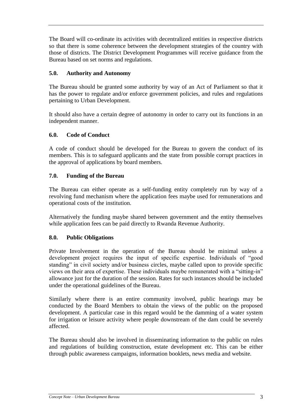The Board will co-ordinate its activities with decentralized entities in respective districts so that there is some coherence between the development strategies of the country with those of districts. The District Development Programmes will receive guidance from the Bureau based on set norms and regulations.

#### **5.0. Authority and Autonomy**

The Bureau should be granted some authority by way of an Act of Parliament so that it has the power to regulate and/or enforce government policies, and rules and regulations pertaining to Urban Development.

It should also have a certain degree of autonomy in order to carry out its functions in an independent manner.

#### **6.0. Code of Conduct**

A code of conduct should be developed for the Bureau to govern the conduct of its members. This is to safeguard applicants and the state from possible corrupt practices in the approval of applications by board members.

#### **7.0. Funding of the Bureau**

The Bureau can either operate as a self-funding entity completely run by way of a revolving fund mechanism where the application fees maybe used for remunerations and operational costs of the institution.

Alternatively the funding maybe shared between government and the entity themselves while application fees can be paid directly to Rwanda Revenue Authority.

#### **8.0. Public Obligations**

Private Involvement in the operation of the Bureau should be minimal unless a development project requires the input of specific expertise. Individuals of "good standing" in civil society and/or business circles, maybe called upon to provide specific views on their area of expertise. These individuals maybe remunerated with a "sitting-in" allowance just for the duration of the session. Rates for such instances should be included under the operational guidelines of the Bureau.

Similarly where there is an entire community involved, public hearings may be conducted by the Board Members to obtain the views of the public on the proposed development. A particular case in this regard would be the damming of a water system for irrigation or leisure activity where people downstream of the dam could be severely affected.

The Bureau should also be involved in disseminating information to the public on rules and regulations of building construction, estate development etc. This can be either through public awareness campaigns, information booklets, news media and website.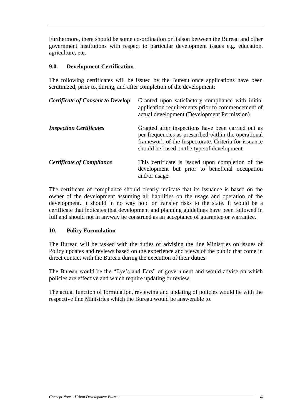Furthermore, there should be some co-ordination or liaison between the Bureau and other government institutions with respect to particular development issues e.g. education, agriculture, etc.

#### **9.0. Development Certification**

The following certificates will be issued by the Bureau once applications have been scrutinized, prior to, during, and after completion of the development:

| <b>Certificate of Consent to Develop</b> | Granted upon satisfactory compliance with initial<br>application requirements prior to commencement of<br>actual development (Development Permission)                                                             |
|------------------------------------------|-------------------------------------------------------------------------------------------------------------------------------------------------------------------------------------------------------------------|
| <b>Inspection Certificates</b>           | Granted after inspections have been carried out as<br>per frequencies as prescribed within the operational<br>framework of the Inspectorate. Criteria for issuance<br>should be based on the type of development. |
| <b>Certificate of Compliance</b>         | This certificate is issued upon completion of the<br>development but prior to beneficial occupation<br>and/or usage.                                                                                              |

The certificate of compliance should clearly indicate that its issuance is based on the owner of the development assuming all liabilities on the usage and operation of the development. It should in no way hold or transfer risks to the state. It would be a certificate that indicates that development and planning guidelines have been followed in full and should not in anyway be construed as an acceptance of guarantee or warrantee.

#### **10. Policy Formulation**

The Bureau will be tasked with the duties of advising the line Ministries on issues of Policy updates and reviews based on the experience and views of the public that come in direct contact with the Bureau during the execution of their duties.

The Bureau would be the "Eye's and Ears" of government and would advise on which policies are effective and which require updating or review.

The actual function of formulation, reviewing and updating of policies would lie with the respective line Ministries which the Bureau would be answerable to.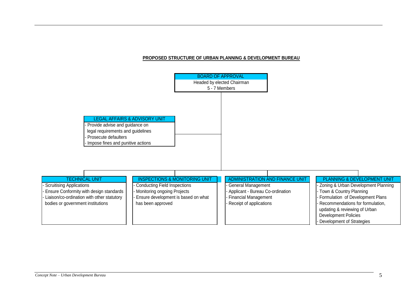#### **PROPOSED STRUCTURE OF URBAN PLANNING & DEVELOPMENT BUREAU**

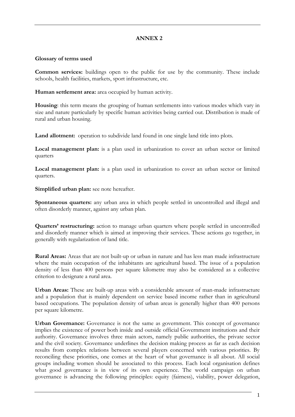#### **ANNEX 2**

#### **Glossary of terms used**

**Common services:** buildings open to the public for use by the community. These include schools, health facilities, markets, sport infrastructure, etc.

**Human settlement area:** area occupied by human activity.

**Housing**: this term means the grouping of human settlements into various modes which vary in size and nature particularly by specific human activities being carried out. Distribution is made of rural and urban housing.

Land allotment: operation to subdivide land found in one single land title into plots.

**Local management plan:** is a plan used in urbanization to cover an urban sector or limited quarters

**Local management plan:** is a plan used in urbanization to cover an urban sector or limited quarters.

**Simplified urban plan:** see note hereafter.

**Spontaneous quarters:** any urban area in which people settled in uncontrolled and illegal and often disorderly manner, against any urban plan.

**Quarters' restructuring:** action to manage urban quarters where people settled in uncontrolled and disorderly manner which is aimed at improving their services. These actions go together, in generally with regularization of land title.

**Rural Areas:** Areas that are not built-up or urban in nature and has less man made infrastructure where the main occupation of the inhabitants are agricultural based. The issue of a population density of less than 400 persons per square kilometre may also be considered as a collective criterion to designate a rural area.

**Urban Areas:** These are built-up areas with a considerable amount of man-made infrastructure and a population that is mainly dependent on service based income rather than in agricultural based occupations. The population density of urban areas is generally higher than 400 persons per square kilometre.

**Urban Governance:** Governance is not the same as government. This concept of governance implies the existence of power both inside and outside official Government institutions and their authority. Governance involves three main actors, namely public authorities, the private sector and the civil society. Governance underlines the decision making process as far as each decision results from complex relations between several players concerned with various priorities. By reconciling these priorities, one comes at the heart of what governance is all about. All social groups including women should be associated to this process. Each local organisation defines what good governance is in view of its own experience. The world campaign on urban governance is advancing the following principles: equity (fairness), viability, power delegation,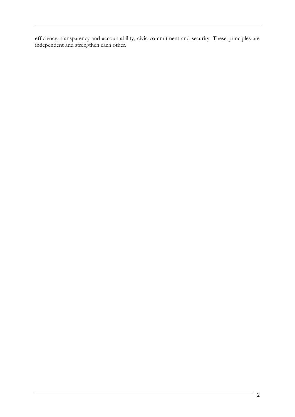efficiency, transparency and accountability, civic commitment and security. These principles are independent and strengthen each other.